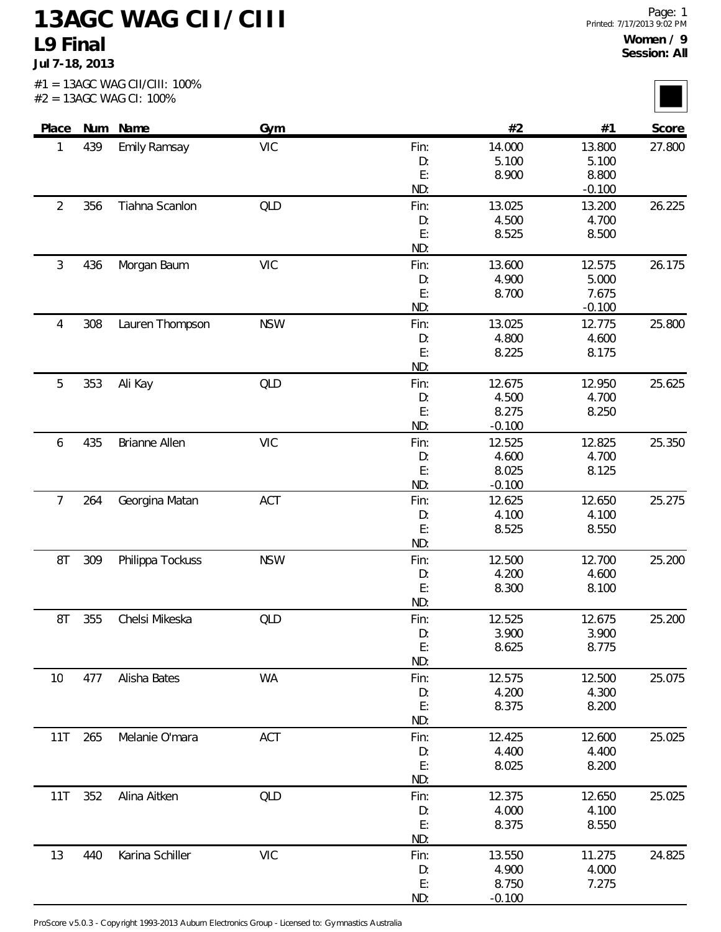## **13AGC WAG CII/CIII L9 Final**

**Jul 7-18, 2013**

|                |     | $#2 = 13AGC$ WAG CI: 100% |            |           |                |                |        |
|----------------|-----|---------------------------|------------|-----------|----------------|----------------|--------|
| Place          |     | Num Name                  | Gym        |           | #2             | #1             | Score  |
| 1              | 439 | <b>Emily Ramsay</b>       | <b>VIC</b> | Fin:      | 14.000         | 13.800         | 27.800 |
|                |     |                           |            | D:        | 5.100          | 5.100          |        |
|                |     |                           |            | E:        | 8.900          | 8.800          |        |
|                |     |                           |            | ND:       |                | $-0.100$       |        |
| $\overline{2}$ | 356 | Tiahna Scanlon            | QLD        | Fin:      | 13.025         | 13.200         | 26.225 |
|                |     |                           |            | D:        | 4.500          | 4.700          |        |
|                |     |                           |            | E:<br>ND: | 8.525          | 8.500          |        |
| $\mathfrak{Z}$ | 436 | Morgan Baum               | <b>VIC</b> | Fin:      | 13.600         | 12.575         | 26.175 |
|                |     |                           |            | D:        | 4.900          | 5.000          |        |
|                |     |                           |            | E:        | 8.700          | 7.675          |        |
|                |     |                           |            | ND:       |                | $-0.100$       |        |
| 4              | 308 | Lauren Thompson           | <b>NSW</b> | Fin:      | 13.025         | 12.775         | 25.800 |
|                |     |                           |            | D:        | 4.800          | 4.600          |        |
|                |     |                           |            | E:        | 8.225          | 8.175          |        |
|                |     |                           |            | ND:       |                |                |        |
| 5              | 353 | Ali Kay                   | QLD        | Fin:      | 12.675         | 12.950         | 25.625 |
|                |     |                           |            | D:        | 4.500          | 4.700          |        |
|                |     |                           |            | E:        | 8.275          | 8.250          |        |
|                |     |                           |            | ND:       | $-0.100$       |                |        |
| 6              | 435 | Brianne Allen             | <b>VIC</b> | Fin:      | 12.525         | 12.825         | 25.350 |
|                |     |                           |            | D:        | 4.600          | 4.700          |        |
|                |     |                           |            | E:        | 8.025          | 8.125          |        |
|                |     |                           |            | ND:       | $-0.100$       |                |        |
| $\overline{7}$ | 264 | Georgina Matan            | ACT        | Fin:      | 12.625         | 12.650         | 25.275 |
|                |     |                           |            | D:        | 4.100          | 4.100          |        |
|                |     |                           |            | E:        | 8.525          | 8.550          |        |
|                |     |                           |            | ND:       |                |                |        |
| 8T             | 309 | Philippa Tockuss          | <b>NSW</b> | Fin:      | 12.500         | 12.700         | 25.200 |
|                |     |                           |            | D:        | 4.200          | 4.600          |        |
|                |     |                           |            | E:        | 8.300          | 8.100          |        |
|                |     |                           |            | ND:       |                |                |        |
| 8T             | 355 | Chelsi Mikeska            | <b>QLD</b> | Fin:      | 12.525         | 12.675         | 25.200 |
|                |     |                           |            | D:<br>E:  | 3.900<br>8.625 | 3.900<br>8.775 |        |
|                |     |                           |            | ND:       |                |                |        |
| 10             | 477 | Alisha Bates              | <b>WA</b>  | Fin:      | 12.575         | 12.500         | 25.075 |
|                |     |                           |            | D:        | 4.200          | 4.300          |        |
|                |     |                           |            | E:        | 8.375          | 8.200          |        |
|                |     |                           |            | ND:       |                |                |        |
| 11T            | 265 | Melanie O'mara            | ACT        | Fin:      | 12.425         | 12.600         | 25.025 |
|                |     |                           |            | D:        | 4.400          | 4.400          |        |
|                |     |                           |            | E:        | 8.025          | 8.200          |        |
|                |     |                           |            | ND:       |                |                |        |
| 11T            | 352 | Alina Aitken              | QLD        | Fin:      | 12.375         | 12.650         | 25.025 |
|                |     |                           |            | D:        | 4.000          | 4.100          |        |
|                |     |                           |            | E:        | 8.375          | 8.550          |        |
|                |     |                           |            | ND:       |                |                |        |
| 13             | 440 | Karina Schiller           | <b>VIC</b> | Fin:      | 13.550         | 11.275         | 24.825 |
|                |     |                           |            | D:        | 4.900          | 4.000          |        |
|                |     |                           |            | E:        | 8.750          | 7.275          |        |
|                |     |                           |            | ND:       | $-0.100$       |                |        |

ProScore v5.0.3 - Copyright 1993-2013 Auburn Electronics Group - Licensed to: Gymnastics Australia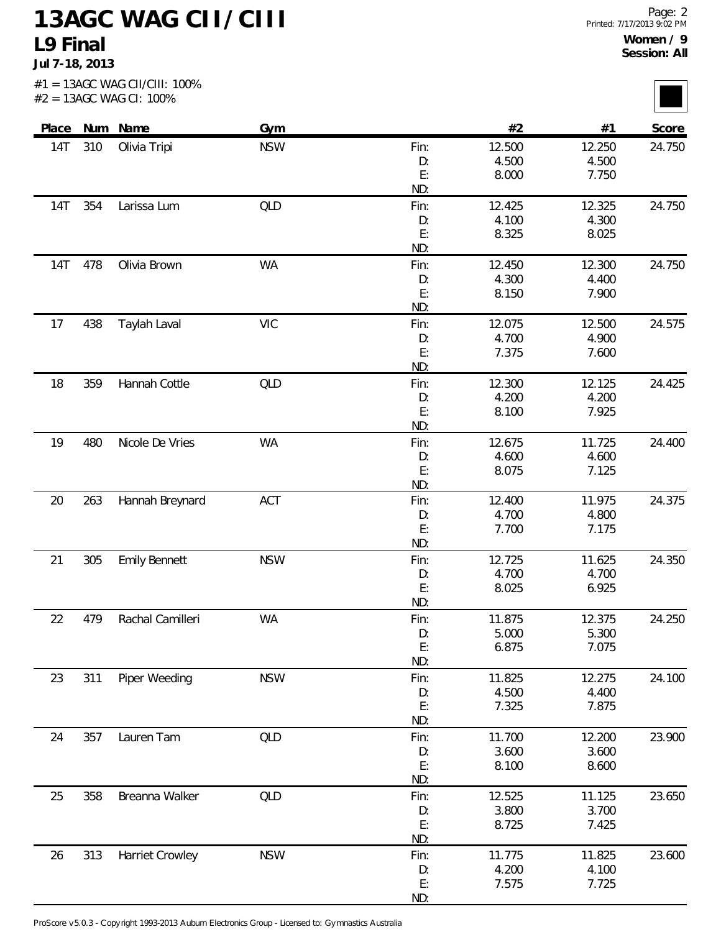## **13AGC WAG CII/CIII L9 Final**

**Jul 7-18, 2013**

|            |     | #2 = 13AGC WAG CI: 100% |            |             |                 |                 |        |
|------------|-----|-------------------------|------------|-------------|-----------------|-----------------|--------|
| Place      |     | Num Name                | <b>Gym</b> |             | #2              | #1              | Score  |
| 14T        | 310 | Olivia Tripi            | <b>NSW</b> | Fin:        | 12.500          | 12.250          | 24.750 |
|            |     |                         |            | D:<br>E:    | 4.500<br>8.000  | 4.500<br>7.750  |        |
|            |     |                         |            | ND:         |                 |                 |        |
| 14T        | 354 | Larissa Lum             | QLD        | Fin:        | 12.425          | 12.325          | 24.750 |
|            |     |                         |            | D:          | 4.100           | 4.300           |        |
|            |     |                         |            | E:<br>ND:   | 8.325           | 8.025           |        |
| <b>14T</b> | 478 | Olivia Brown            | <b>WA</b>  | Fin:        | 12.450          | 12.300          | 24.750 |
|            |     |                         |            | D:          | 4.300           | 4.400           |        |
|            |     |                         |            | E:          | 8.150           | 7.900           |        |
|            |     |                         |            | ND:         |                 |                 |        |
| 17         | 438 | Taylah Laval            | <b>VIC</b> | Fin:        | 12.075          | 12.500          | 24.575 |
|            |     |                         |            | D:          | 4.700           | 4.900           |        |
|            |     |                         |            | E:<br>ND:   | 7.375           | 7.600           |        |
| 18         | 359 | Hannah Cottle           | QLD        | Fin:        | 12.300          | 12.125          | 24.425 |
|            |     |                         |            | D:          | 4.200           | 4.200           |        |
|            |     |                         |            | E:          | 8.100           | 7.925           |        |
|            |     |                         |            | ND:         |                 |                 |        |
| 19         | 480 | Nicole De Vries         | <b>WA</b>  | Fin:        | 12.675          | 11.725          | 24.400 |
|            |     |                         |            | D:<br>E:    | 4.600<br>8.075  | 4.600<br>7.125  |        |
|            |     |                         |            | ND:         |                 |                 |        |
| 20         | 263 | Hannah Breynard         | ACT        | Fin:        | 12.400          | 11.975          | 24.375 |
|            |     |                         |            | D:          | 4.700           | 4.800           |        |
|            |     |                         |            | E:<br>ND:   | 7.700           | 7.175           |        |
| 21         | 305 | <b>Emily Bennett</b>    | <b>NSW</b> | Fin:        | 12.725          | 11.625          | 24.350 |
|            |     |                         |            | D:          | 4.700           | 4.700           |        |
|            |     |                         |            | E:          | 8.025           | 6.925           |        |
|            |     |                         |            | ND:         |                 |                 |        |
| 22         | 479 | Rachal Camilleri        | <b>WA</b>  | Fin:        | 11.875          | 12.375          | 24.250 |
|            |     |                         |            | D:<br>E:    | 5.000<br>6.875  | 5.300<br>7.075  |        |
|            |     |                         |            | ND:         |                 |                 |        |
| 23         | 311 | Piper Weeding           | <b>NSW</b> | Fin:        | 11.825          | 12.275          | 24.100 |
|            |     |                         |            | D:          | 4.500           | 4.400           |        |
|            |     |                         |            | E:          | 7.325           | 7.875           |        |
|            |     |                         |            | ND:         |                 |                 |        |
| 24         | 357 | Lauren Tam              | QLD        | Fin:<br>D:  | 11.700<br>3.600 | 12.200<br>3.600 | 23.900 |
|            |     |                         |            | E:          | 8.100           | 8.600           |        |
|            |     |                         |            | ND:         |                 |                 |        |
| 25         | 358 | Breanna Walker          | QLD        | Fin:        | 12.525          | 11.125          | 23.650 |
|            |     |                         |            | D:          | 3.800           | 3.700           |        |
|            |     |                         |            | E:          | 8.725           | 7.425           |        |
|            | 313 | Harriet Crowley         | <b>NSW</b> | ND:<br>Fin: | 11.775          | 11.825          | 23.600 |
| 26         |     |                         |            | D:          | 4.200           | 4.100           |        |
|            |     |                         |            | E:          | 7.575           | 7.725           |        |

ND:

ProScore v5.0.3 - Copyright 1993-2013 Auburn Electronics Group - Licensed to: Gymnastics Australia